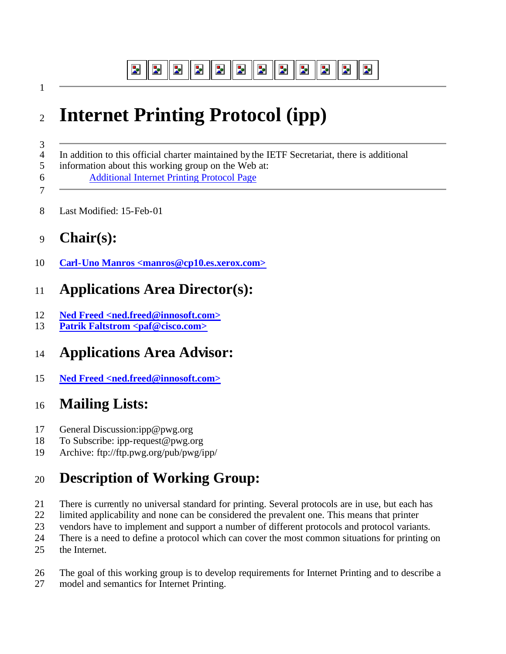| 1212121212121212 |  |  |  |  |  |
|------------------|--|--|--|--|--|
|------------------|--|--|--|--|--|

# **Internet Printing Protocol (ipp)**

 $\frac{3}{4}$ In addition to this official charter maintained by the IETF Secretariat, there is additional

- information about this working group on the Web at:
- Additional Internet Printing Protocol Page
- Last Modified: 15-Feb-01

# **Chair(s):**

**Carl-Uno Manros <manros@cp10.es.xerox.com>**

# **Applications Area Director(s):**

- **Ned Freed <ned.freed@innosoft.com>**
- **Patrik Faltstrom <paf@cisco.com>**

# **Applications Area Advisor:**

**Ned Freed <ned.freed@innosoft.com>**

#### **Mailing Lists:**

- General Discussion:ipp@pwg.org
- To Subscribe: ipp-request@pwg.org
- Archive: ftp://ftp.pwg.org/pub/pwg/ipp/

# **Description of Working Group:**

- There is currently no universal standard for printing. Several protocols are in use, but each has
- limited applicability and none can be considered the prevalent one. This means that printer
- vendors have to implement and support a number of different protocols and protocol variants.
- There is a need to define a protocol which can cover the most common situations for printing on
- the Internet.
- The goal of this working group is to develop requirements for Internet Printing and to describe a
- model and semantics for Internet Printing.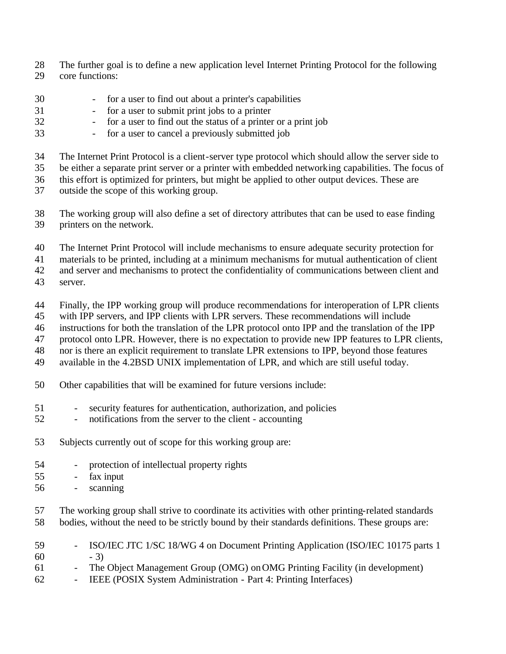- The further goal is to define a new application level Internet Printing Protocol for the following
- core functions:
- for a user to find out about a printer's capabilities
- for a user to submit print jobs to a printer
- for a user to find out the status of a printer or a print job
- for a user to cancel a previously submitted job
- The Internet Print Protocol is a client-server type protocol which should allow the server side to

be either a separate print server or a printer with embedded networking capabilities. The focus of

- this effort is optimized for printers, but might be applied to other output devices. These are
- outside the scope of this working group.
- The working group will also define a set of directory attributes that can be used to ease finding printers on the network.
- The Internet Print Protocol will include mechanisms to ensure adequate security protection for
- materials to be printed, including at a minimum mechanisms for mutual authentication of client
- and server and mechanisms to protect the confidentiality of communications between client and
- server.
- Finally, the IPP working group will produce recommendations for interoperation of LPR clients
- with IPP servers, and IPP clients with LPR servers. These recommendations will include
- instructions for both the translation of the LPR protocol onto IPP and the translation of the IPP
- protocol onto LPR. However, there is no expectation to provide new IPP features to LPR clients,
- nor is there an explicit requirement to translate LPR extensions to IPP, beyond those features
- available in the 4.2BSD UNIX implementation of LPR, and which are still useful today.
- Other capabilities that will be examined for future versions include:
- security features for authentication, authorization, and policies
- notifications from the server to the client accounting
- Subjects currently out of scope for this working group are:
- protection of intellectual property rights
- fax input
- scanning
- The working group shall strive to coordinate its activities with other printing-related standards bodies, without the need to be strictly bound by their standards definitions. These groups are:
- ISO/IEC JTC 1/SC 18/WG 4 on Document Printing Application (ISO/IEC 10175 parts 1  $60 - 3$
- The Object Management Group (OMG) on OMG Printing Facility (in development)
- IEEE (POSIX System Administration Part 4: Printing Interfaces)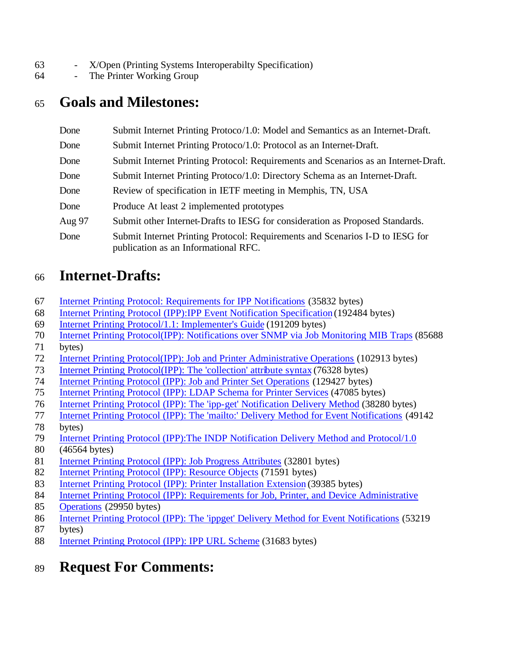- X/Open (Printing Systems Interoperabilty Specification)
- The Printer Working Group

#### **Goals and Milestones:**

| Done   | Submit Internet Printing Protoco/1.0: Model and Semantics as an Internet-Draft.                                       |
|--------|-----------------------------------------------------------------------------------------------------------------------|
| Done   | Submit Internet Printing Protoco/1.0: Protocol as an Internet-Draft.                                                  |
| Done   | Submit Internet Printing Protocol: Requirements and Scenarios as an Internet-Draft.                                   |
| Done   | Submit Internet Printing Protoco/1.0: Directory Schema as an Internet-Draft.                                          |
| Done   | Review of specification in IETF meeting in Memphis, TN, USA                                                           |
| Done   | Produce At least 2 implemented prototypes                                                                             |
| Aug 97 | Submit other Internet-Drafts to IESG for consideration as Proposed Standards.                                         |
| Done   | Submit Internet Printing Protocol: Requirements and Scenarios I-D to IESG for<br>publication as an Informational RFC. |

#### **Internet-Drafts:**

- Internet Printing Protocol: Requirements for IPP Notifications (35832 bytes)
- Internet Printing Protocol (IPP):IPP Event Notification Specification (192484 bytes)
- Internet Printing Protocol/1.1: Implementer's Guide (191209 bytes)
- Internet Printing Protocol(IPP): Notifications over SNMP via Job Monitoring MIB Traps (85688
- bytes)
- Internet Printing Protocol(IPP): Job and Printer Administrative Operations (102913 bytes)
- Internet Printing Protocol(IPP): The 'collection' attribute syntax (76328 bytes)
- Internet Printing Protocol (IPP): Job and Printer Set Operations (129427 bytes)
- Internet Printing Protocol (IPP): LDAP Schema for Printer Services (47085 bytes)
- Internet Printing Protocol (IPP): The 'ipp-get' Notification Delivery Method (38280 bytes)
- Internet Printing Protocol (IPP): The 'mailto:' Delivery Method for Event Notifications (49142
- bytes)
- Internet Printing Protocol (IPP):The INDP Notification Delivery Method and Protocol/1.0
- (46564 bytes)
- Internet Printing Protocol (IPP): Job Progress Attributes (32801 bytes)
- Internet Printing Protocol (IPP): Resource Objects (71591 bytes)
- Internet Printing Protocol (IPP): Printer Installation Extension (39385 bytes)
- Internet Printing Protocol (IPP): Requirements for Job, Printer, and Device Administrative
- Operations (29950 bytes)
- Internet Printing Protocol (IPP): The 'ippget' Delivery Method for Event Notifications (53219
- bytes)
- Internet Printing Protocol (IPP): IPP URL Scheme (31683 bytes)

# **Request For Comments:**